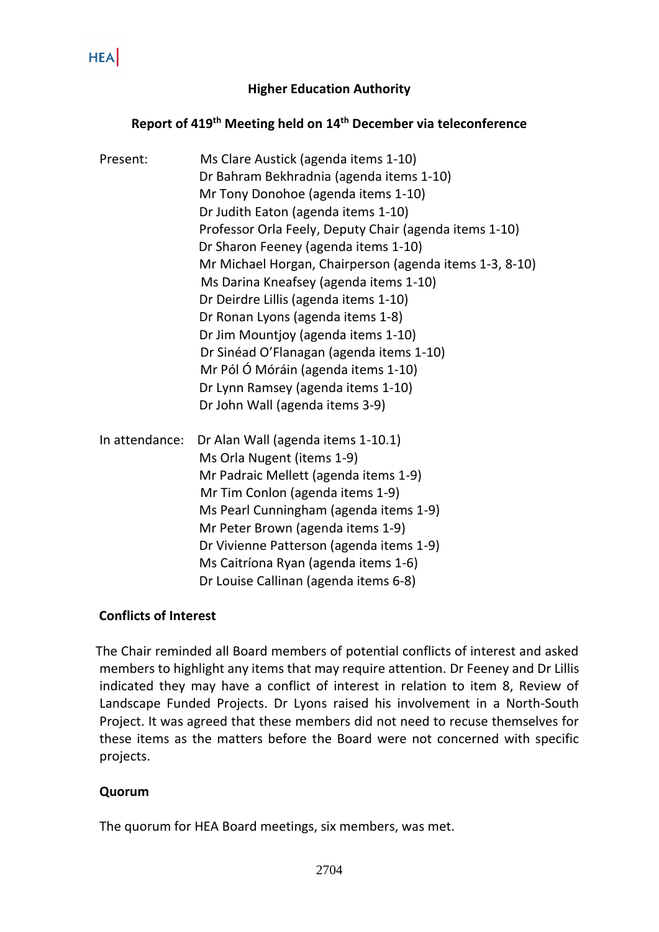#### **Higher Education Authority**

### **Report of 419 th Meeting held on 14th December via teleconference**

| Present:       | Ms Clare Austick (agenda items 1-10)<br>Dr Bahram Bekhradnia (agenda items 1-10)<br>Mr Tony Donohoe (agenda items 1-10)<br>Dr Judith Eaton (agenda items 1-10)<br>Professor Orla Feely, Deputy Chair (agenda items 1-10)<br>Dr Sharon Feeney (agenda items 1-10)<br>Mr Michael Horgan, Chairperson (agenda items 1-3, 8-10)<br>Ms Darina Kneafsey (agenda items 1-10)<br>Dr Deirdre Lillis (agenda items 1-10)<br>Dr Ronan Lyons (agenda items 1-8)<br>Dr Jim Mountjoy (agenda items 1-10)<br>Dr Sinéad O'Flanagan (agenda items 1-10)<br>Mr Pól Ó Móráin (agenda items 1-10)<br>Dr Lynn Ramsey (agenda items 1-10)<br>Dr John Wall (agenda items 3-9) |
|----------------|--------------------------------------------------------------------------------------------------------------------------------------------------------------------------------------------------------------------------------------------------------------------------------------------------------------------------------------------------------------------------------------------------------------------------------------------------------------------------------------------------------------------------------------------------------------------------------------------------------------------------------------------------------|
| In attendance: | Dr Alan Wall (agenda items 1-10.1)<br>Ms Orla Nugent (items 1-9)<br>Mr Padraic Mellett (agenda items 1-9)<br>Mr Tim Conlon (agenda items 1-9)<br>Ms Pearl Cunningham (agenda items 1-9)<br>Mr Peter Brown (agenda items 1-9)<br>Dr Vivienne Patterson (agenda items 1-9)<br>Ms Caitríona Ryan (agenda items 1-6)<br>Dr Louise Callinan (agenda items 6-8)                                                                                                                                                                                                                                                                                              |

#### **Conflicts of Interest**

 The Chair reminded all Board members of potential conflicts of interest and asked members to highlight any items that may require attention. Dr Feeney and Dr Lillis indicated they may have a conflict of interest in relation to item 8, Review of Landscape Funded Projects. Dr Lyons raised his involvement in a North-South Project. It was agreed that these members did not need to recuse themselves for these items as the matters before the Board were not concerned with specific projects.

#### **Quorum**

The quorum for HEA Board meetings, six members, was met.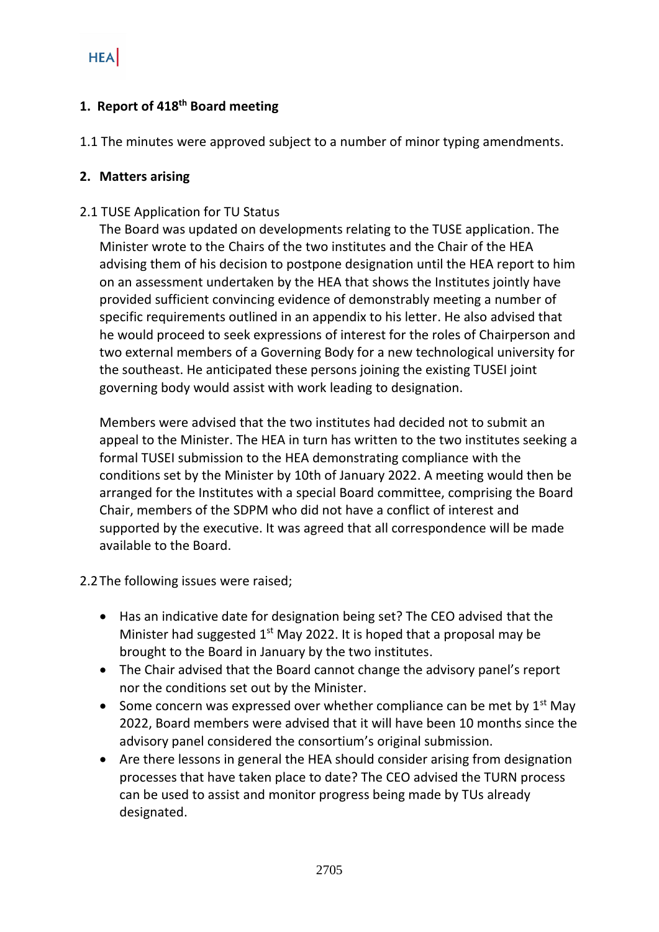### **1. Report of 418 th Board meeting**

1.1 The minutes were approved subject to a number of minor typing amendments.

#### **2. Matters arising**

#### 2.1 TUSE Application for TU Status

The Board was updated on developments relating to the TUSE application. The Minister wrote to the Chairs of the two institutes and the Chair of the HEA advising them of his decision to postpone designation until the HEA report to him on an assessment undertaken by the HEA that shows the Institutes jointly have provided sufficient convincing evidence of demonstrably meeting a number of specific requirements outlined in an appendix to his letter. He also advised that he would proceed to seek expressions of interest for the roles of Chairperson and two external members of a Governing Body for a new technological university for the southeast. He anticipated these persons joining the existing TUSEI joint governing body would assist with work leading to designation.

Members were advised that the two institutes had decided not to submit an appeal to the Minister. The HEA in turn has written to the two institutes seeking a formal TUSEI submission to the HEA demonstrating compliance with the conditions set by the Minister by 10th of January 2022. A meeting would then be arranged for the Institutes with a special Board committee, comprising the Board Chair, members of the SDPM who did not have a conflict of interest and supported by the executive. It was agreed that all correspondence will be made available to the Board.

2.2The following issues were raised;

- Has an indicative date for designation being set? The CEO advised that the Minister had suggested  $1<sup>st</sup>$  May 2022. It is hoped that a proposal may be brought to the Board in January by the two institutes.
- The Chair advised that the Board cannot change the advisory panel's report nor the conditions set out by the Minister.
- Some concern was expressed over whether compliance can be met by  $1<sup>st</sup>$  May 2022, Board members were advised that it will have been 10 months since the advisory panel considered the consortium's original submission.
- Are there lessons in general the HEA should consider arising from designation processes that have taken place to date? The CEO advised the TURN process can be used to assist and monitor progress being made by TUs already designated.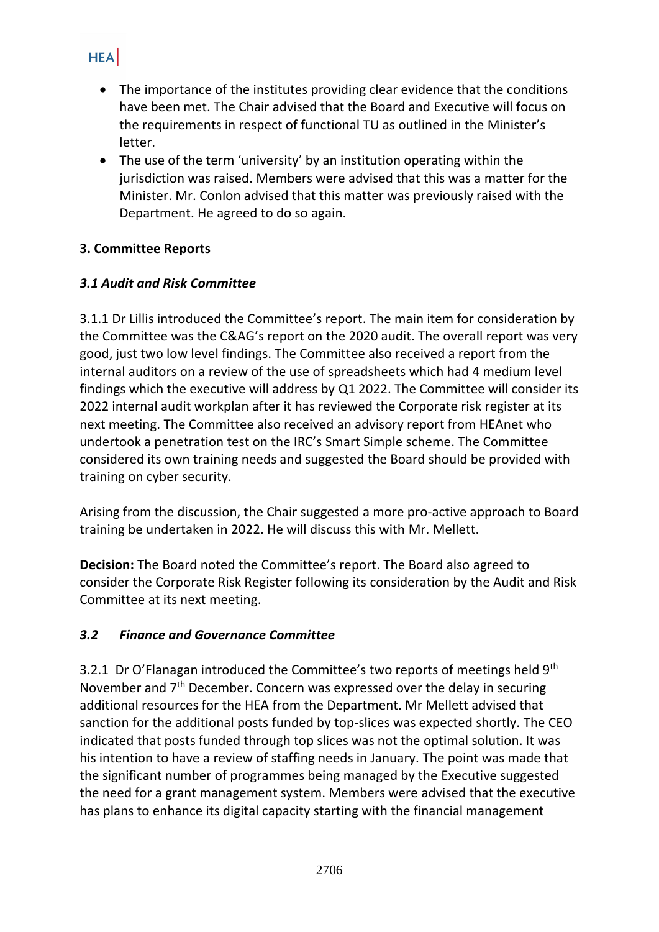- **HEA** 
	- The importance of the institutes providing clear evidence that the conditions have been met. The Chair advised that the Board and Executive will focus on the requirements in respect of functional TU as outlined in the Minister's letter.
	- The use of the term 'university' by an institution operating within the jurisdiction was raised. Members were advised that this was a matter for the Minister. Mr. Conlon advised that this matter was previously raised with the Department. He agreed to do so again.

## **3. Committee Reports**

## *3.1 Audit and Risk Committee*

3.1.1 Dr Lillis introduced the Committee's report. The main item for consideration by the Committee was the C&AG's report on the 2020 audit. The overall report was very good, just two low level findings. The Committee also received a report from the internal auditors on a review of the use of spreadsheets which had 4 medium level findings which the executive will address by Q1 2022. The Committee will consider its 2022 internal audit workplan after it has reviewed the Corporate risk register at its next meeting. The Committee also received an advisory report from HEAnet who undertook a penetration test on the IRC's Smart Simple scheme. The Committee considered its own training needs and suggested the Board should be provided with training on cyber security.

Arising from the discussion, the Chair suggested a more pro-active approach to Board training be undertaken in 2022. He will discuss this with Mr. Mellett.

**Decision:** The Board noted the Committee's report. The Board also agreed to consider the Corporate Risk Register following its consideration by the Audit and Risk Committee at its next meeting.

#### *3.2 Finance and Governance Committee*

3.2.1 Dr O'Flanagan introduced the Committee's two reports of meetings held 9<sup>th</sup> November and 7<sup>th</sup> December. Concern was expressed over the delay in securing additional resources for the HEA from the Department. Mr Mellett advised that sanction for the additional posts funded by top-slices was expected shortly. The CEO indicated that posts funded through top slices was not the optimal solution. It was his intention to have a review of staffing needs in January. The point was made that the significant number of programmes being managed by the Executive suggested the need for a grant management system. Members were advised that the executive has plans to enhance its digital capacity starting with the financial management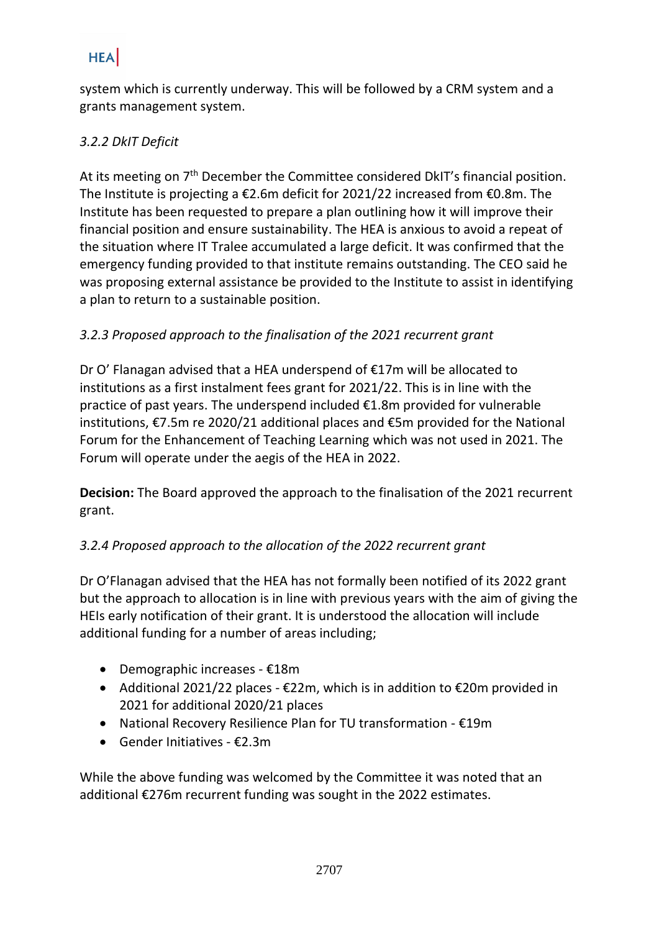system which is currently underway. This will be followed by a CRM system and a grants management system.

## *3.2.2 DkIT Deficit*

At its meeting on  $7<sup>th</sup>$  December the Committee considered DkIT's financial position. The Institute is projecting a €2.6m deficit for 2021/22 increased from €0.8m. The Institute has been requested to prepare a plan outlining how it will improve their financial position and ensure sustainability. The HEA is anxious to avoid a repeat of the situation where IT Tralee accumulated a large deficit. It was confirmed that the emergency funding provided to that institute remains outstanding. The CEO said he was proposing external assistance be provided to the Institute to assist in identifying a plan to return to a sustainable position.

## *3.2.3 Proposed approach to the finalisation of the 2021 recurrent grant*

Dr O' Flanagan advised that a HEA underspend of €17m will be allocated to institutions as a first instalment fees grant for 2021/22. This is in line with the practice of past years. The underspend included €1.8m provided for vulnerable institutions, €7.5m re 2020/21 additional places and €5m provided for the National Forum for the Enhancement of Teaching Learning which was not used in 2021. The Forum will operate under the aegis of the HEA in 2022.

**Decision:** The Board approved the approach to the finalisation of the 2021 recurrent grant.

## *3.2.4 Proposed approach to the allocation of the 2022 recurrent grant*

Dr O'Flanagan advised that the HEA has not formally been notified of its 2022 grant but the approach to allocation is in line with previous years with the aim of giving the HEIs early notification of their grant. It is understood the allocation will include additional funding for a number of areas including;

- Demographic increases  $£18m$
- Additional 2021/22 places €22m, which is in addition to €20m provided in 2021 for additional 2020/21 places
- National Recovery Resilience Plan for TU transformation €19m
- Gender Initiatives €2.3m

While the above funding was welcomed by the Committee it was noted that an additional €276m recurrent funding was sought in the 2022 estimates.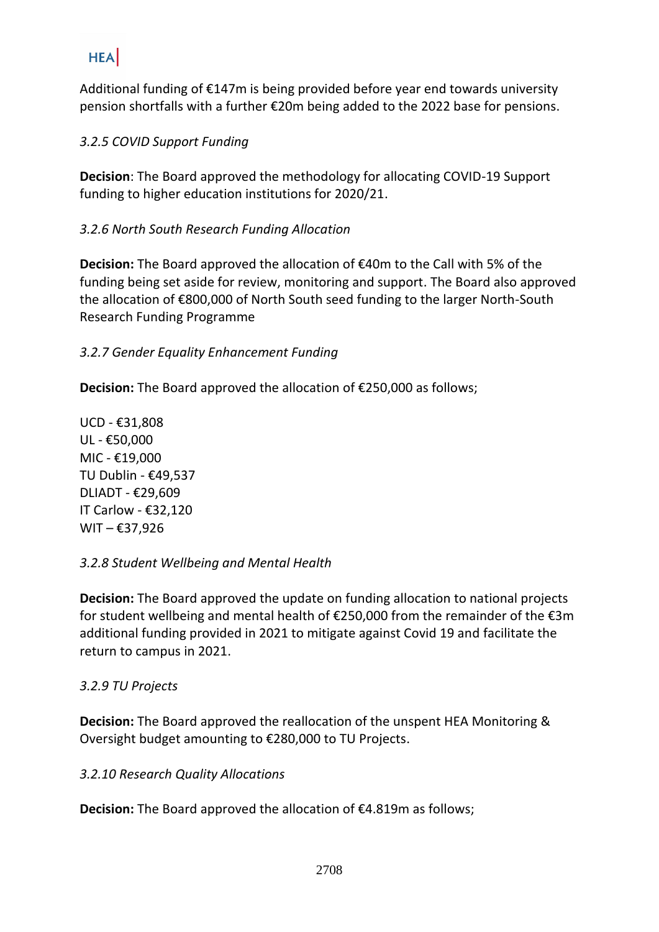Additional funding of €147m is being provided before year end towards university pension shortfalls with a further €20m being added to the 2022 base for pensions.

#### *3.2.5 COVID Support Funding*

**Decision**: The Board approved the methodology for allocating COVID-19 Support funding to higher education institutions for 2020/21.

### *3.2.6 North South Research Funding Allocation*

**Decision:** The Board approved the allocation of €40m to the Call with 5% of the funding being set aside for review, monitoring and support. The Board also approved the allocation of €800,000 of North South seed funding to the larger North-South Research Funding Programme

### *3.2.7 Gender Equality Enhancement Funding*

**Decision:** The Board approved the allocation of €250,000 as follows;

UCD - €31,808 UL - €50,000 MIC - €19,000 TU Dublin - €49,537 DLIADT - €29,609 IT Carlow - €32,120  $WIT –  $€37,926$$ 

#### *3.2.8 Student Wellbeing and Mental Health*

**Decision:** The Board approved the update on funding allocation to national projects for student wellbeing and mental health of €250,000 from the remainder of the €3m additional funding provided in 2021 to mitigate against Covid 19 and facilitate the return to campus in 2021.

#### *3.2.9 TU Projects*

**Decision:** The Board approved the reallocation of the unspent HEA Monitoring & Oversight budget amounting to €280,000 to TU Projects.

*3.2.10 Research Quality Allocations*

**Decision:** The Board approved the allocation of €4.819m as follows;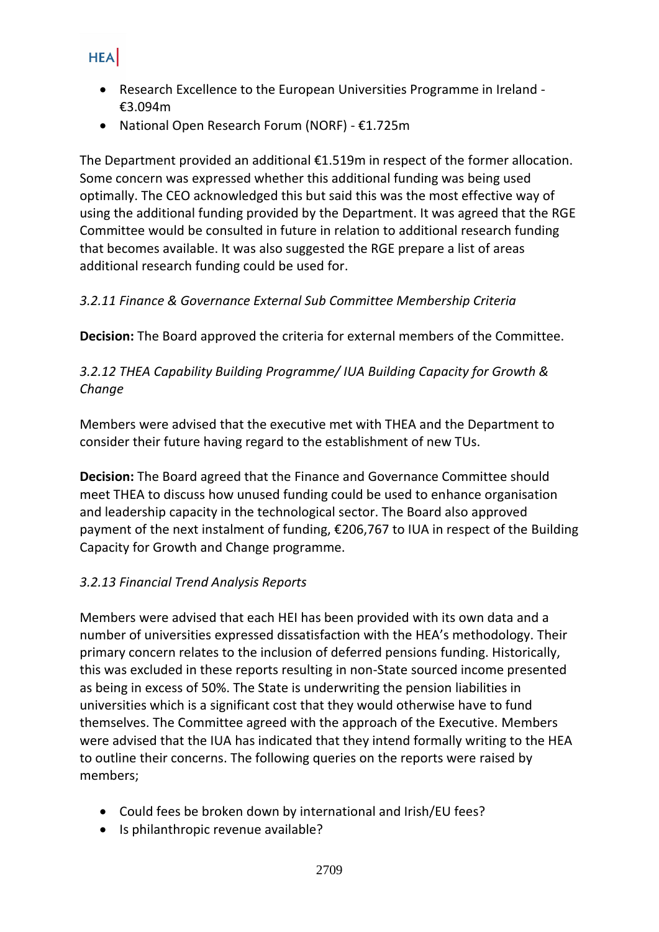- Research Excellence to the European Universities Programme in Ireland €3.094m
- National Open Research Forum (NORF) €1.725m

The Department provided an additional €1.519m in respect of the former allocation. Some concern was expressed whether this additional funding was being used optimally. The CEO acknowledged this but said this was the most effective way of using the additional funding provided by the Department. It was agreed that the RGE Committee would be consulted in future in relation to additional research funding that becomes available. It was also suggested the RGE prepare a list of areas additional research funding could be used for.

## *3.2.11 Finance & Governance External Sub Committee Membership Criteria*

**Decision:** The Board approved the criteria for external members of the Committee.

## *3.2.12 THEA Capability Building Programme/ IUA Building Capacity for Growth & Change*

Members were advised that the executive met with THEA and the Department to consider their future having regard to the establishment of new TUs.

**Decision:** The Board agreed that the Finance and Governance Committee should meet THEA to discuss how unused funding could be used to enhance organisation and leadership capacity in the technological sector. The Board also approved payment of the next instalment of funding, €206,767 to IUA in respect of the Building Capacity for Growth and Change programme.

## *3.2.13 Financial Trend Analysis Reports*

Members were advised that each HEI has been provided with its own data and a number of universities expressed dissatisfaction with the HEA's methodology. Their primary concern relates to the inclusion of deferred pensions funding. Historically, this was excluded in these reports resulting in non-State sourced income presented as being in excess of 50%. The State is underwriting the pension liabilities in universities which is a significant cost that they would otherwise have to fund themselves. The Committee agreed with the approach of the Executive. Members were advised that the IUA has indicated that they intend formally writing to the HEA to outline their concerns. The following queries on the reports were raised by members;

- Could fees be broken down by international and Irish/EU fees?
- Is philanthropic revenue available?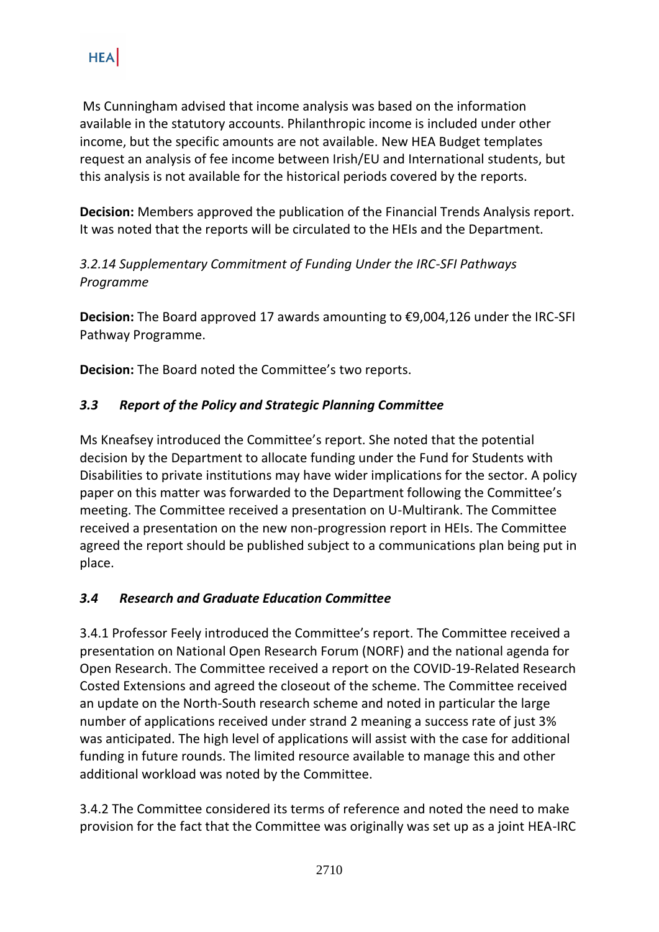Ms Cunningham advised that income analysis was based on the information available in the statutory accounts. Philanthropic income is included under other income, but the specific amounts are not available. New HEA Budget templates request an analysis of fee income between Irish/EU and International students, but this analysis is not available for the historical periods covered by the reports.

**Decision:** Members approved the publication of the Financial Trends Analysis report. It was noted that the reports will be circulated to the HEIs and the Department.

### *3.2.14 Supplementary Commitment of Funding Under the IRC-SFI Pathways Programme*

**Decision:** The Board approved 17 awards amounting to €9,004,126 under the IRC-SFI Pathway Programme.

**Decision:** The Board noted the Committee's two reports.

## *3.3 Report of the Policy and Strategic Planning Committee*

Ms Kneafsey introduced the Committee's report. She noted that the potential decision by the Department to allocate funding under the Fund for Students with Disabilities to private institutions may have wider implications for the sector. A policy paper on this matter was forwarded to the Department following the Committee's meeting. The Committee received a presentation on U-Multirank. The Committee received a presentation on the new non-progression report in HEIs. The Committee agreed the report should be published subject to a communications plan being put in place.

#### *3.4 Research and Graduate Education Committee*

3.4.1 Professor Feely introduced the Committee's report. The Committee received a presentation on National Open Research Forum (NORF) and the national agenda for Open Research. The Committee received a report on the COVID-19-Related Research Costed Extensions and agreed the closeout of the scheme. The Committee received an update on the North-South research scheme and noted in particular the large number of applications received under strand 2 meaning a success rate of just 3% was anticipated. The high level of applications will assist with the case for additional funding in future rounds. The limited resource available to manage this and other additional workload was noted by the Committee.

3.4.2 The Committee considered its terms of reference and noted the need to make provision for the fact that the Committee was originally was set up as a joint HEA-IRC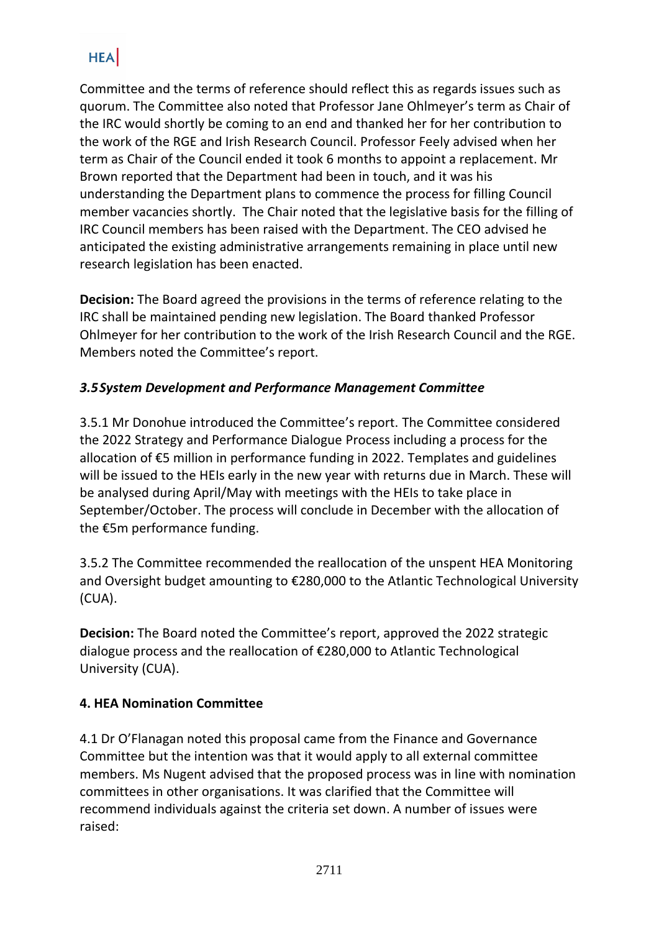Committee and the terms of reference should reflect this as regards issues such as quorum. The Committee also noted that Professor Jane Ohlmeyer's term as Chair of the IRC would shortly be coming to an end and thanked her for her contribution to the work of the RGE and Irish Research Council. Professor Feely advised when her term as Chair of the Council ended it took 6 months to appoint a replacement. Mr Brown reported that the Department had been in touch, and it was his understanding the Department plans to commence the process for filling Council member vacancies shortly. The Chair noted that the legislative basis for the filling of IRC Council members has been raised with the Department. The CEO advised he anticipated the existing administrative arrangements remaining in place until new research legislation has been enacted.

**Decision:** The Board agreed the provisions in the terms of reference relating to the IRC shall be maintained pending new legislation. The Board thanked Professor Ohlmeyer for her contribution to the work of the Irish Research Council and the RGE. Members noted the Committee's report.

## *3.5System Development and Performance Management Committee*

3.5.1 Mr Donohue introduced the Committee's report. The Committee considered the 2022 Strategy and Performance Dialogue Process including a process for the allocation of €5 million in performance funding in 2022. Templates and guidelines will be issued to the HEIs early in the new year with returns due in March. These will be analysed during April/May with meetings with the HEIs to take place in September/October. The process will conclude in December with the allocation of the €5m performance funding.

3.5.2 The Committee recommended the reallocation of the unspent HEA Monitoring and Oversight budget amounting to €280,000 to the Atlantic Technological University (CUA).

**Decision:** The Board noted the Committee's report, approved the 2022 strategic dialogue process and the reallocation of €280,000 to Atlantic Technological University (CUA).

#### **4. HEA Nomination Committee**

4.1 Dr O'Flanagan noted this proposal came from the Finance and Governance Committee but the intention was that it would apply to all external committee members. Ms Nugent advised that the proposed process was in line with nomination committees in other organisations. It was clarified that the Committee will recommend individuals against the criteria set down. A number of issues were raised: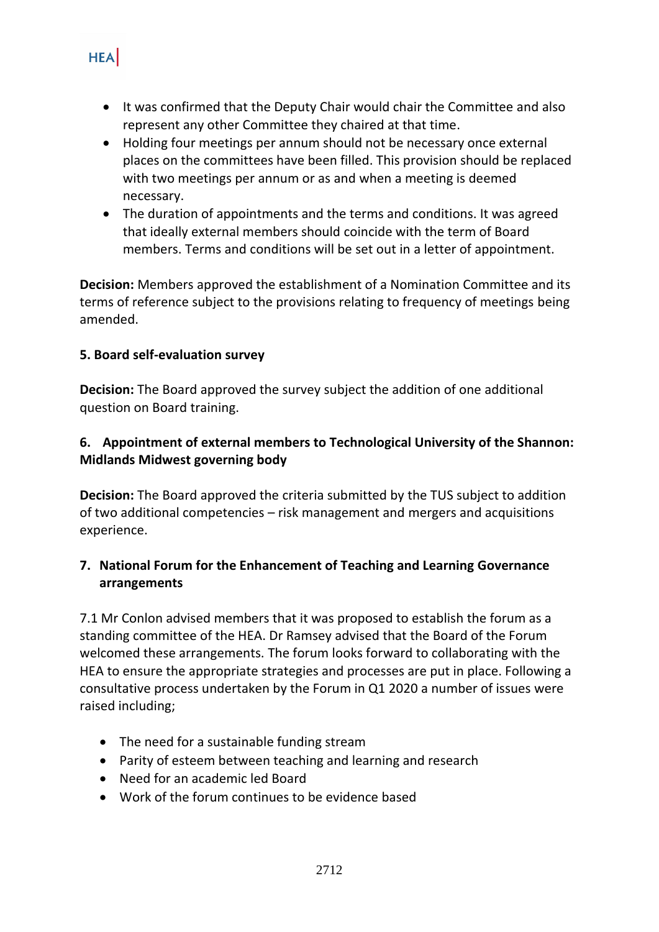- It was confirmed that the Deputy Chair would chair the Committee and also represent any other Committee they chaired at that time.
- Holding four meetings per annum should not be necessary once external places on the committees have been filled. This provision should be replaced with two meetings per annum or as and when a meeting is deemed necessary.
- The duration of appointments and the terms and conditions. It was agreed that ideally external members should coincide with the term of Board members. Terms and conditions will be set out in a letter of appointment.

**Decision:** Members approved the establishment of a Nomination Committee and its terms of reference subject to the provisions relating to frequency of meetings being amended.

#### **5. Board self-evaluation survey**

**Decision:** The Board approved the survey subject the addition of one additional question on Board training.

## **6. Appointment of external members to Technological University of the Shannon: Midlands Midwest governing body**

**Decision:** The Board approved the criteria submitted by the TUS subject to addition of two additional competencies – risk management and mergers and acquisitions experience.

## **7. National Forum for the Enhancement of Teaching and Learning Governance arrangements**

7.1 Mr Conlon advised members that it was proposed to establish the forum as a standing committee of the HEA. Dr Ramsey advised that the Board of the Forum welcomed these arrangements. The forum looks forward to collaborating with the HEA to ensure the appropriate strategies and processes are put in place. Following a consultative process undertaken by the Forum in Q1 2020 a number of issues were raised including;

- The need for a sustainable funding stream
- Parity of esteem between teaching and learning and research
- Need for an academic led Board
- Work of the forum continues to be evidence based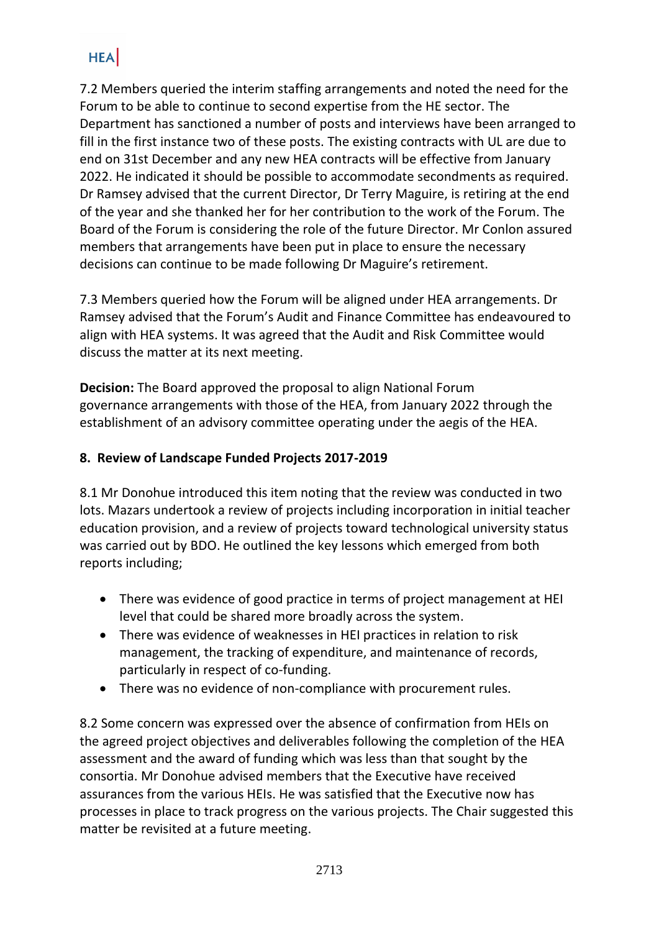7.2 Members queried the interim staffing arrangements and noted the need for the Forum to be able to continue to second expertise from the HE sector. The Department has sanctioned a number of posts and interviews have been arranged to fill in the first instance two of these posts. The existing contracts with UL are due to end on 31st December and any new HEA contracts will be effective from January 2022. He indicated it should be possible to accommodate secondments as required. Dr Ramsey advised that the current Director, Dr Terry Maguire, is retiring at the end of the year and she thanked her for her contribution to the work of the Forum. The Board of the Forum is considering the role of the future Director. Mr Conlon assured members that arrangements have been put in place to ensure the necessary decisions can continue to be made following Dr Maguire's retirement.

7.3 Members queried how the Forum will be aligned under HEA arrangements. Dr Ramsey advised that the Forum's Audit and Finance Committee has endeavoured to align with HEA systems. It was agreed that the Audit and Risk Committee would discuss the matter at its next meeting.

**Decision:** The Board approved the proposal to align National Forum governance arrangements with those of the HEA, from January 2022 through the establishment of an advisory committee operating under the aegis of the HEA.

### **8. Review of Landscape Funded Projects 2017-2019**

8.1 Mr Donohue introduced this item noting that the review was conducted in two lots. Mazars undertook a review of projects including incorporation in initial teacher education provision, and a review of projects toward technological university status was carried out by BDO. He outlined the key lessons which emerged from both reports including;

- There was evidence of good practice in terms of project management at HEI level that could be shared more broadly across the system.
- There was evidence of weaknesses in HEI practices in relation to risk management, the tracking of expenditure, and maintenance of records, particularly in respect of co-funding.
- There was no evidence of non-compliance with procurement rules.

8.2 Some concern was expressed over the absence of confirmation from HEIs on the agreed project objectives and deliverables following the completion of the HEA assessment and the award of funding which was less than that sought by the consortia. Mr Donohue advised members that the Executive have received assurances from the various HEIs. He was satisfied that the Executive now has processes in place to track progress on the various projects. The Chair suggested this matter be revisited at a future meeting.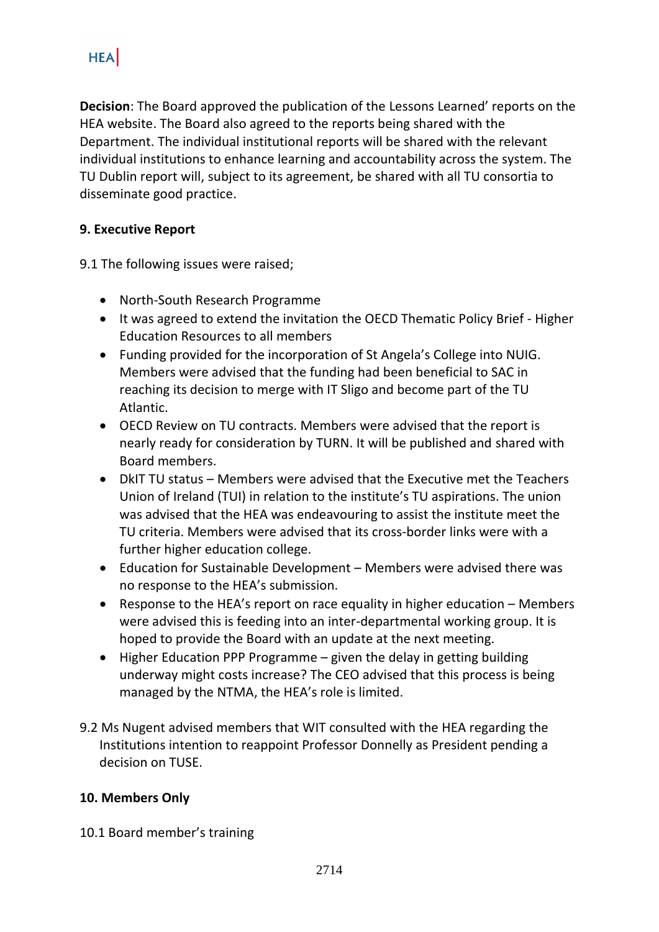**Decision**: The Board approved the publication of the Lessons Learned' reports on the HEA website. The Board also agreed to the reports being shared with the Department. The individual institutional reports will be shared with the relevant individual institutions to enhance learning and accountability across the system. The TU Dublin report will, subject to its agreement, be shared with all TU consortia to disseminate good practice.

#### **9. Executive Report**

9.1 The following issues were raised;

- North-South Research Programme
- It was agreed to extend the invitation the OECD Thematic Policy Brief Higher Education Resources to all members
- Funding provided for the incorporation of St Angela's College into NUIG. Members were advised that the funding had been beneficial to SAC in reaching its decision to merge with IT Sligo and become part of the TU Atlantic.
- OECD Review on TU contracts. Members were advised that the report is nearly ready for consideration by TURN. It will be published and shared with Board members.
- DkIT TU status Members were advised that the Executive met the Teachers Union of Ireland (TUI) in relation to the institute's TU aspirations. The union was advised that the HEA was endeavouring to assist the institute meet the TU criteria. Members were advised that its cross-border links were with a further higher education college.
- Education for Sustainable Development Members were advised there was no response to the HEA's submission.
- Response to the HEA's report on race equality in higher education Members were advised this is feeding into an inter-departmental working group. It is hoped to provide the Board with an update at the next meeting.
- Higher Education PPP Programme given the delay in getting building underway might costs increase? The CEO advised that this process is being managed by the NTMA, the HEA's role is limited.
- 9.2 Ms Nugent advised members that WIT consulted with the HEA regarding the Institutions intention to reappoint Professor Donnelly as President pending a decision on TUSE.

#### **10. Members Only**

10.1 Board member's training